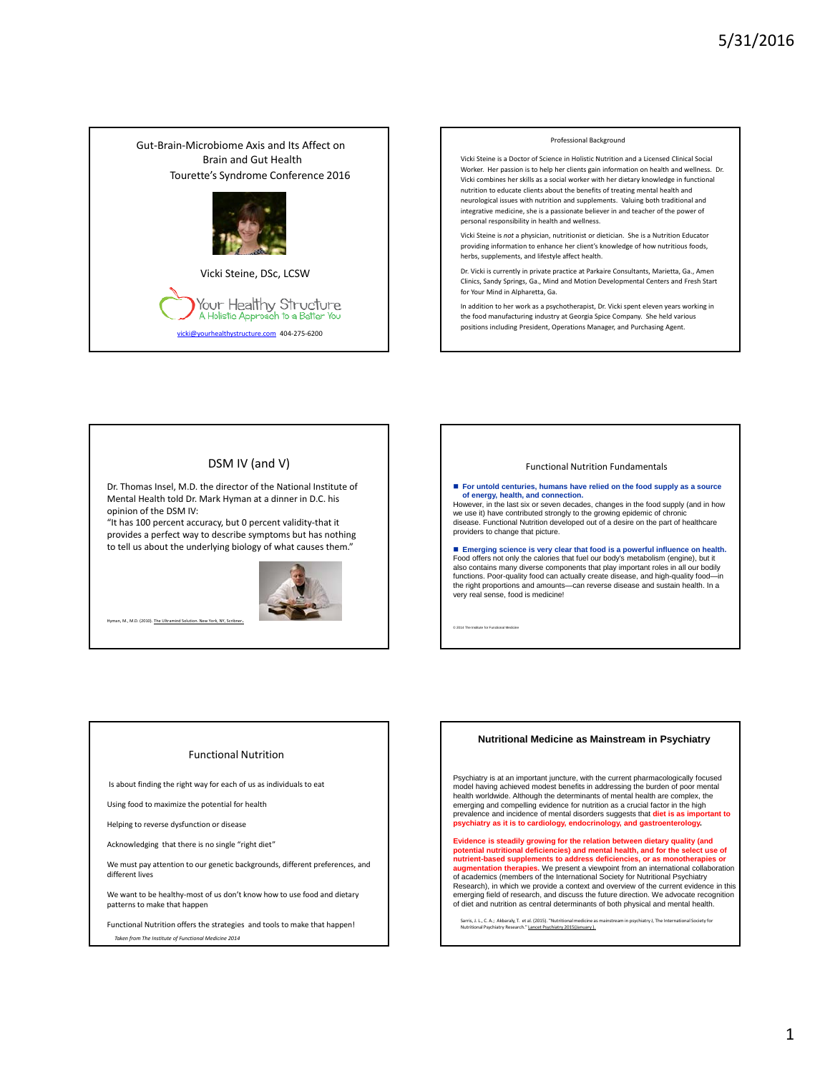



In addition to her work as a psychotherapist, Dr. Vicki spent eleven years working in the food manufacturing industry at Georgia Spice Company. She held various positions including President, Operations Manager, and Purchasing Agent.

# DSM IV (and V)

Dr. Thomas Insel, M.D. the director of the National Institute of Mental Health told Dr. Mark Hyman at a dinner in D.C. his opinion of the DSM IV:

"It has 100 percent accuracy, but 0 percent validity-that it provides a perfect way to describe symptoms but has nothing to tell us about the underlying biology of what causes them."



M., M.D. (2010). Th

#### Functional Nutrition Fundamentals

 **For untold centuries, humans have relied on the food supply as a source**  of energy, health, and connection.<br>However, in the last six or seven decades, changes in the food supply (and in how we use it) have contributed strongly to the growing epidemic of chronic disease. Functional Nutrition developed out of a desire on the part of healthcare providers to change that picture. **Emerging science is very clear that food is a powerful influence on health.** Food offers not only the calories that fuel our body's metabolism (engine), but it also contains many diverse components that play important roles in all our bodily<br>functions. Poor-quality food can actually create disease, and high-quality food—in<br>the right proportions and amounts—can reverse disease an very real sense, food is medicine!

© 2014 The Institute for Functional Medicine

#### Functional Nutrition

Is about finding the right way for each of us as individuals to eat

Using food to maximize the potential for health

Helping to reverse dysfunction or disease

Acknowledging that there is no single "right diet"

We must pay attention to our genetic backgrounds, different preferences, and different lives

We want to be healthy-most of us don't know how to use food and dietary patterns to make that happen

Functional Nutrition offers the strategies and tools to make that happen! *Taken from The Institute of Functional Medicine 2014*

#### **Nutritional Medicine as Mainstream in Psychiatry**

Psychiatry is at an important juncture, with the current pharmacologically focused model having achieved modest benefits in addressing the burden of poor mental health worldwide. Although the determinants of mental health are complex, the emerging and compelling evidence for nutrition as a crucial factor in the high prevalence and incidence of mental disorders suggests that **diet is as important to psychiatry as it is to cardiology, endocrinology, and gastroenterology.** 

**Evidence is steadily growing for the relation between dietary quality (and potential nutritional deficiencies) and mental health, and for the select use of nutrient-based supplements to address deficiencies, or as monotherapies or Imentation therapies.** We present a viewpoint from an international collaboration of academics (members of the International Society for Nutritional Psychiatry Research), in which we provide a context and overview of the current evidence in this emerging field of research, and discuss the future direction. We advocate recognition of diet and nutrition as central determinants of both physical and mental health.

Sarris, J. L., C. A.; Akbaraly, T. et al. (2015). "Nutritional medicine as mainstream in psychiatry J, The International Society for<br>Nutritional Psychiatry Research." <u>Lancet Psychiatry 2015(January ).</u>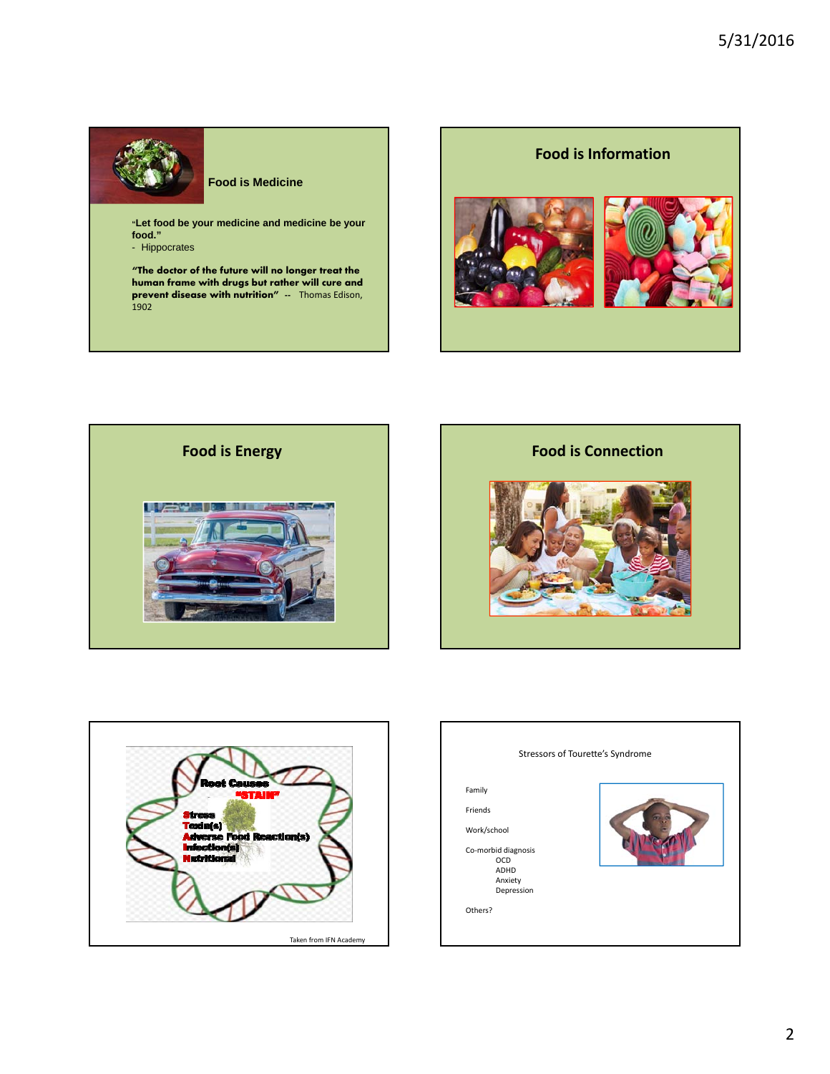

# **Food is Medicine**

**"Let food be your medicine and medicine be your food."** 

- Hippocrates

**"The doctor of the future will no longer treat the human frame with drugs but rather will cure and prevent disease with nutrition" --** Thomas Edison, 1902









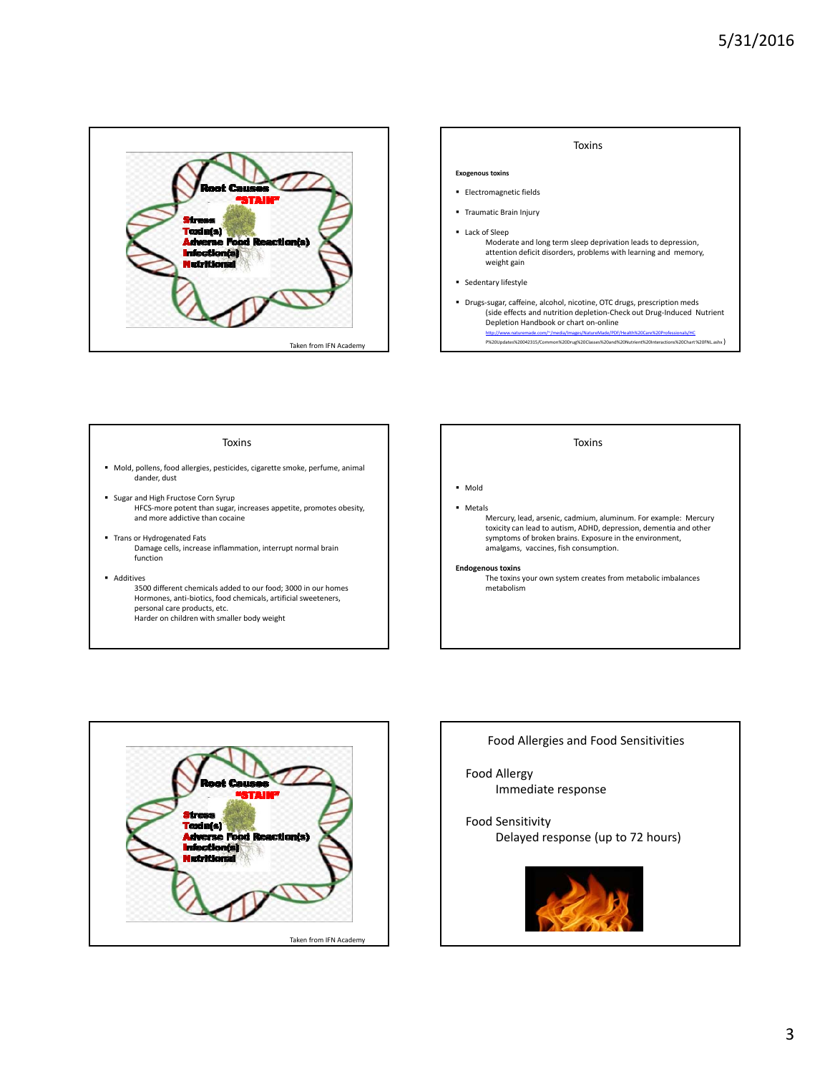



#### Toxins

- Mold, pollens, food allergies, pesticides, cigarette smoke, perfume, animal dander, dust
- **Sugar and High Fructose Corn Syrup** HFCS-more potent than sugar, increases appetite, promotes obesity, and more addictive than cocaine
- **Trans or Hydrogenated Fats** Damage cells, increase inflammation, interrupt normal brain function
- **Additives** 
	- 3500 different chemicals added to our food; 3000 in our homes Hormones, anti-biotics, food chemicals, artificial sweeteners, personal care products, etc. Harder on children with smaller body weight

### Toxins

Mold

Metals

Mercury, lead, arsenic, cadmium, aluminum. For example: Mercury toxicity can lead to autism, ADHD, depression, dementia and other symptoms of broken brains. Exposure in the environment, amalgams, vaccines, fish consumption.

#### **Endogenous toxins**

The toxins your own system creates from metabolic imbalances metabolism



# Food Allergies and Food Sensitivities

Food Allergy Immediate response

# Food Sensitivity

Delayed response (up to 72 hours)

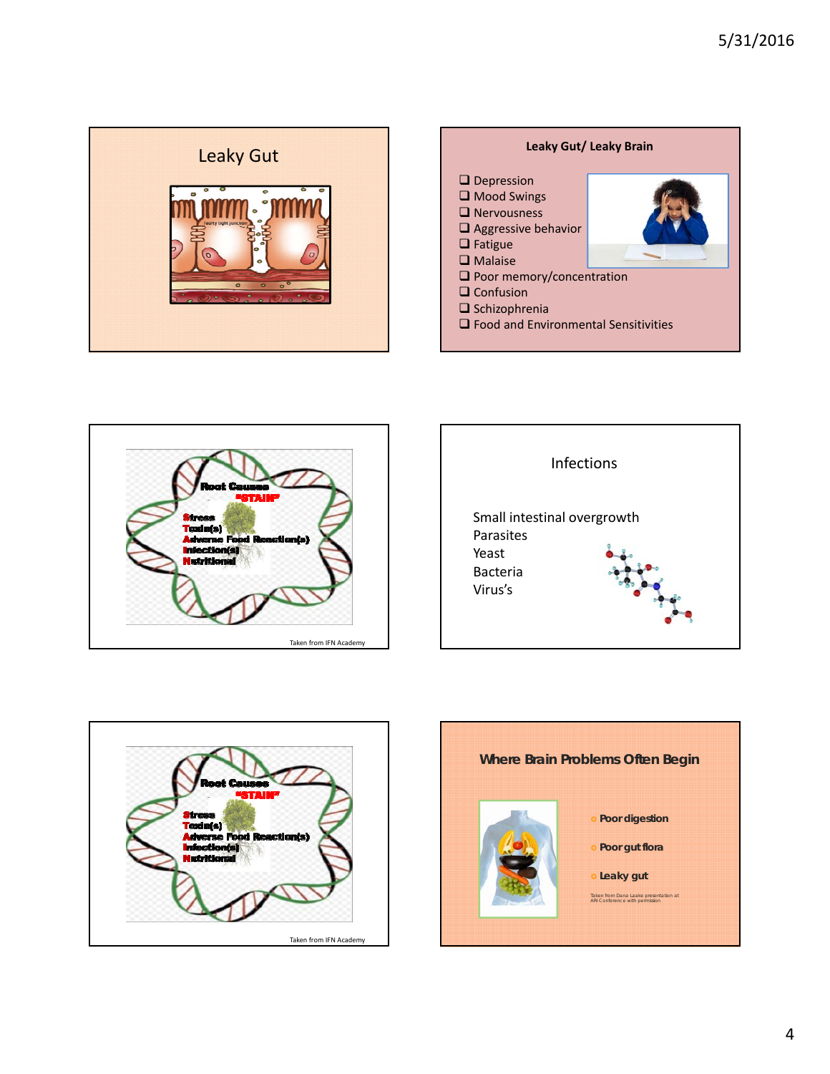







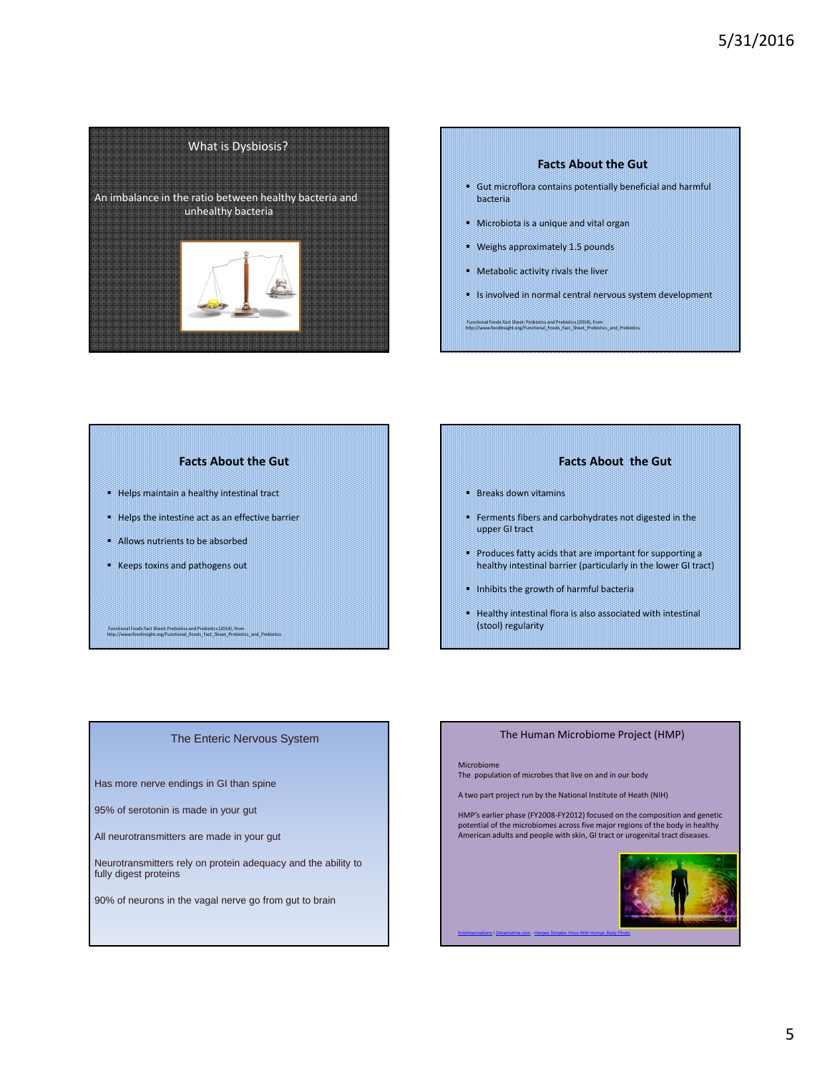# 5/31/2016



# **Facts About the Gut**

- Gut microflora contains potentially beneficial and harmful bacteria
- Microbiota is a unique and vital organ
- Weighs approximately 1.5 pounds
- Metabolic activity rivals the liver
- Is involved in normal central nervous system development

Functional Foods Fact Sheet: Probiotics and Prebiotics (2014), from http://www.foodinsight.org/Functional\_Foods\_Fact\_Sheet\_Probiotics\_and\_Prebiotics

# **Facts About the Gut**

- Helps maintain a healthy intestinal tract
- **Helps the intestine act as an effective barrier**
- Allows nutrients to be absorbed
- **Keeps toxins and pathogens out**

Functional Foods Fact Sheet: Probiotics and Prebiotics (2014), from http://www.foodinsight.org/Functional\_Foods\_Fact\_Sheet\_Probiotics\_and\_Prebiotics

### **Facts About the Gut**

- **Breaks down vitamins**
- Ferments fibers and carbohydrates not digested in the upper GI tract
- Produces fatty acids that are important for supporting a healthy intestinal barrier (particularly in the lower GI tract)
- Inhibits the growth of harmful bacteria
- Healthy intestinal flora is also associated with intestinal (stool) regularity

# The Enteric Nervous System

Has more nerve endings in GI than spine

95% of serotonin is made in your gut

All neurotransmitters are made in your gut

Neurotransmitters rely on protein adequacy and the ability to fully digest proteins

90% of neurons in the vagal nerve go from gut to brain

# The Human Microbiome Project (HMP)

#### Microbiome

The population of microbes that live on and in our body

A two part project run by the National Institute of Heath (NIH)

HMP's earlier phase (FY2008-FY2012) focused on the composition and genetic potential of the microbiomes across five major regions of the body in healthy American adults and people with skin, GI tract or urogenital tract diseases.

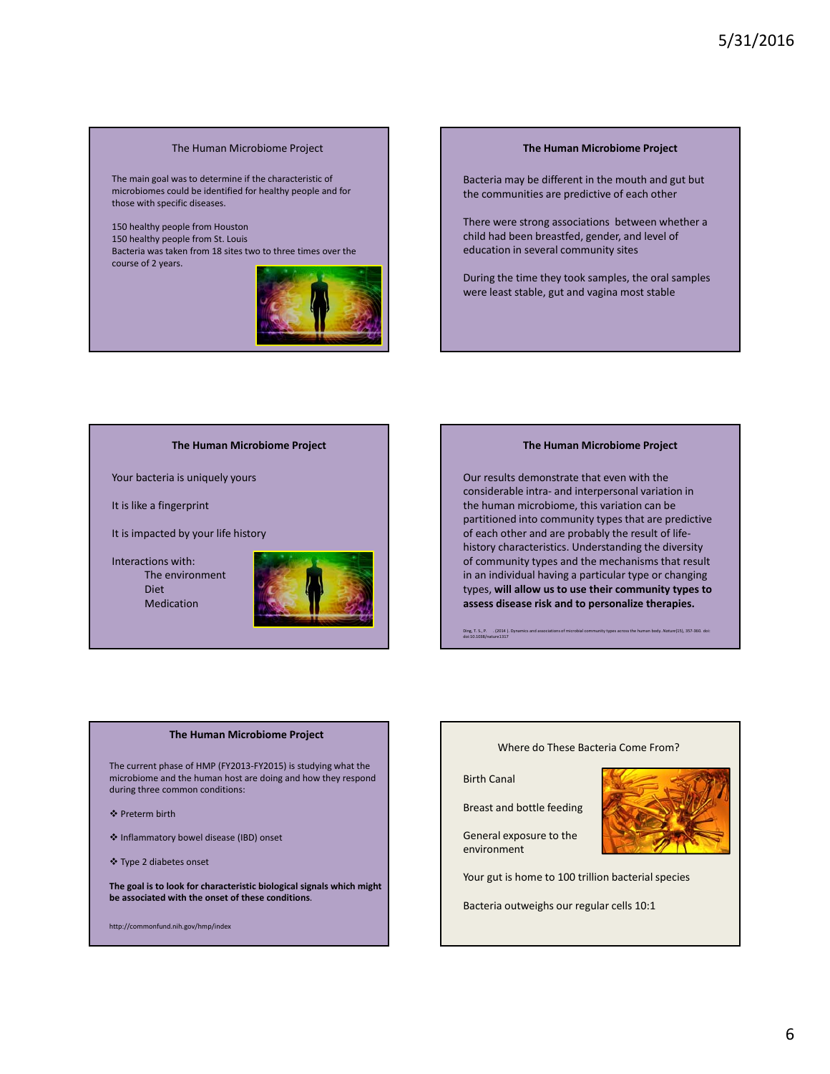# The Human Microbiome Project

The main goal was to determine if the characteristic of microbiomes could be identified for healthy people and for those with specific diseases.

150 healthy people from Houston 150 healthy people from St. Louis Bacteria was taken from 18 sites two to three times over the course of 2 years.



### **The Human Microbiome Project**

Bacteria may be different in the mouth and gut but the communities are predictive of each other

There were strong associations between whether a child had been breastfed, gender, and level of education in several community sites

During the time they took samples, the oral samples were least stable, gut and vagina most stable

**The Human Microbiome Project**

Your bacteria is uniquely yours

It is like a fingerprint

It is impacted by your life history

Interactions with: The environment Diet

Medication



#### **The Human Microbiome Project**

Our results demonstrate that even with the considerable intra- and interpersonal variation in the human microbiome, this variation can be partitioned into community types that are predictive of each other and are probably the result of lifehistory characteristics. Understanding the diversity of community types and the mechanisms that result in an individual having a particular type or changing types, **will allow us to use their community types to assess disease risk and to personalize therapies.**

Ding, T. S., P. . (2014 ). Dynamics and associations of microbial community types across the human body. *Nature*(15), 357-360. doi:<br>doi:10.1038/nature1317

#### **The Human Microbiome Project**

The current phase of HMP (FY2013-FY2015) is studying what the microbiome and the human host are doing and how they respond during three common conditions:

- ❖ Preterm birth
- Inflammatory bowel disease (IBD) onset
- Type 2 diabetes onset

**The goal is to look for characteristic biological signals which might be associated with the onset of these conditions**.

http://commonfund.nih.gov/hmp/index

#### Where do These Bacteria Come From?

Birth Canal

Breast and bottle feeding

General exposure to the environment



Your gut is home to 100 trillion bacterial species

Bacteria outweighs our regular cells 10:1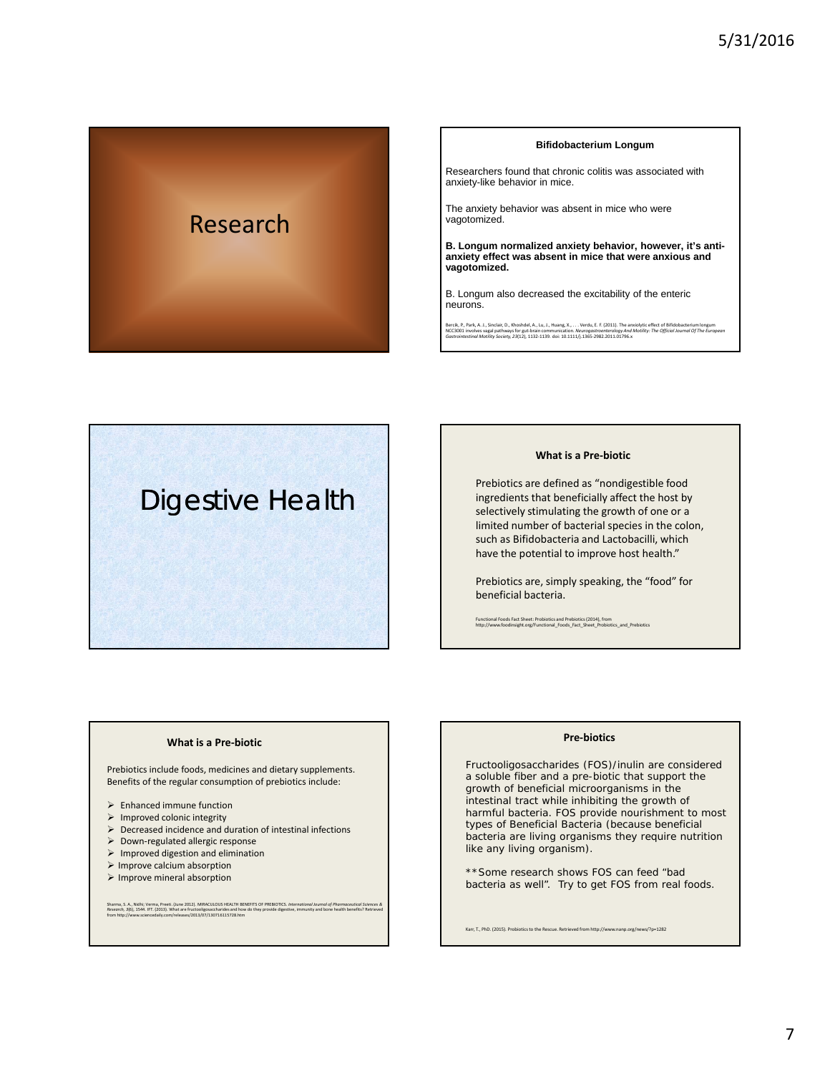

#### **Bifidobacterium Longum**

Researchers found that chronic colitis was associated with anxiety-like behavior in mice.

The anxiety behavior was absent in mice who were vagotomized.

**B. Longum normalized anxiety behavior, however, it's antianxiety effect was absent in mice that were anxious and vagotomized.**

B. Longum also decreased the excitability of the enteric neurons.

Bercik, P., Park, A. J., Sinclair, D., Khoshdel, A., Lu, J., Huang, X., . . . Verdu, E. F. (2011). The anxiolytic effect of Bifidobacterium longum<br>NCC3001 involves vagal pathways for gut-brain communication. *Neurogastroen* 



### **What is a Pre-biotic**

Prebiotics are defined as "nondigestible food ingredients that beneficially affect the host by selectively stimulating the growth of one or a limited number of bacterial species in the colon, such as Bifidobacteria and Lactobacilli, which have the potential to improve host health."

Prebiotics are, simply speaking, the "food" for beneficial bacteria.

Functional Foods Fact Sheet: Probiotics and Prebiotics (2014), from http://www.foodinsight.org/Functional\_Foods\_Fact\_Sheet\_Probiotics\_and\_Prebiotics

#### **What is a Pre-biotic**

Prebiotics include foods, medicines and dietary supplements. Benefits of the regular consumption of prebiotics include:

- $\blacktriangleright$  Enhanced immune function
- $\triangleright$  Improved colonic integrity
- $\triangleright$  Decreased incidence and duration of intestinal infections
- Down-regulated allergic response
- $\triangleright$  Improved digestion and elimination
- $\triangleright$  Improve calcium absorption
- $\triangleright$  Improve mineral absorption

Sharma, S. A., Nidhi; Verma, Preeti. (June 2012). MIRACULOUS HEALTH BENEFITS OF PREBIOTICS. *International Journal of Pharmaceutical Sciences &*<br>Research, 3(6), 1544. IFT. (2013). What are fructooligosaccharides and how do

# **Pre-biotics**

Fructooligosaccharides (FOS)/inulin are considered a soluble fiber and a pre-biotic that support the growth of beneficial microorganisms in the intestinal tract while inhibiting the growth of harmful bacteria. FOS provide nourishment to most types of Beneficial Bacteria (because beneficial bacteria are living organisms they require nutrition like any living organism).

\*\*Some research shows FOS can feed "bad bacteria as well". Try to get FOS from real foods.

Karr, T., PhD. (2015). Probiotics to the Rescue. Retrieved from http://www.nanp.org/news/?p=1282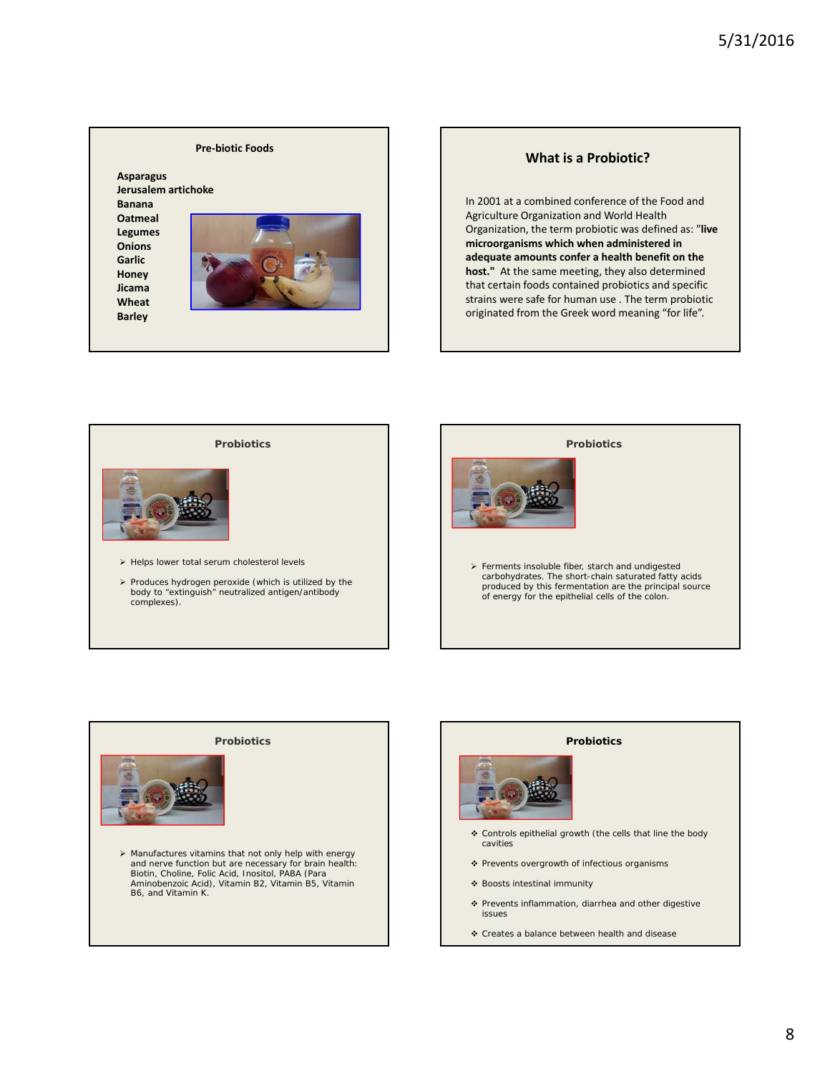# **Pre-biotic Foods**

**Asparagus Jerusalem artichoke Banana**

**Oatmeal Legumes Onions Garlic Honey Jicama Wheat**

**Barley**



# **What is a Probiotic?**

In 2001 at a combined conference of the Food and Agriculture Organization and World Health Organization, the term probiotic was defined as: "**live microorganisms which when administered in adequate amounts confer a health benefit on the host."** At the same meeting, they also determined that certain foods contained probiotics and specific strains were safe for human use . The term probiotic originated from the Greek word meaning "for life".



 $\triangleright$  Produces hydrogen peroxide (which is utilized by the body to "extinguish" neutralized antigen/antibody complexes).





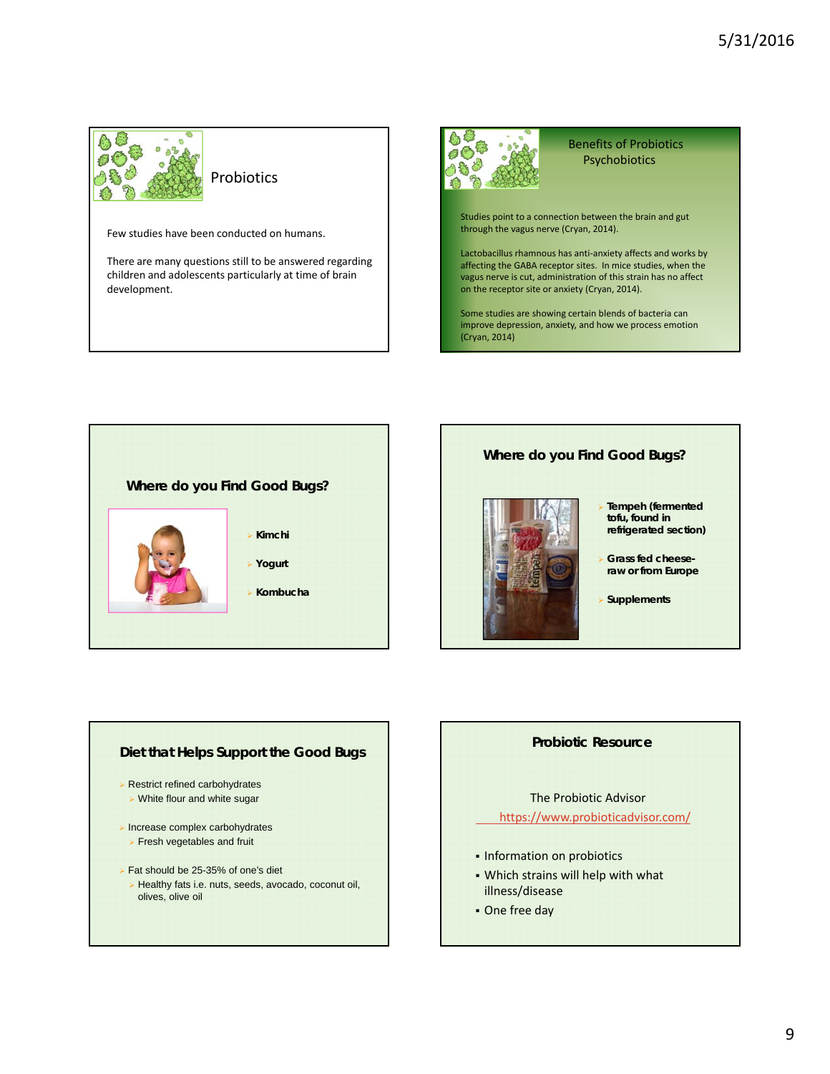

Few studies have been conducted on humans.

There are many questions still to be answered regarding children and adolescents particularly at time of brain development.



Benefits of Probiotics Psychobiotics

Studies point to a connection between the brain and gut through the vagus nerve (Cryan, 2014).

Lactobacillus rhamnous has anti-anxiety affects and works by affecting the GABA receptor sites. In mice studies, when the vagus nerve is cut, administration of this strain has no affect on the receptor site or anxiety (Cryan, 2014).

Some studies are showing certain blends of bacteria can improve depression, anxiety, and how we process emotion (Cryan, 2014)



# **Where do you Find Good Bugs?**



- **Tempeh (fermented tofu, found in refrigerated section)**
- **Grass fed cheeseraw or from Europe**
- **Supplements**

# **Diet that Helps Support the Good Bugs**

- **Restrict refined carbohydrates**
- White flour and white sugar
- $\triangleright$  Increase complex carbohydrates **Fresh vegetables and fruit**
- Fat should be 25-35% of one's diet
	- Healthy fats i.e. nuts, seeds, avocado, coconut oil, olives, olive oil

# **Probiotic Resource**

The Probiotic Advisor https://www.probioticadvisor.com/

- **Information on probiotics**
- Which strains will help with what illness/disease
- One free day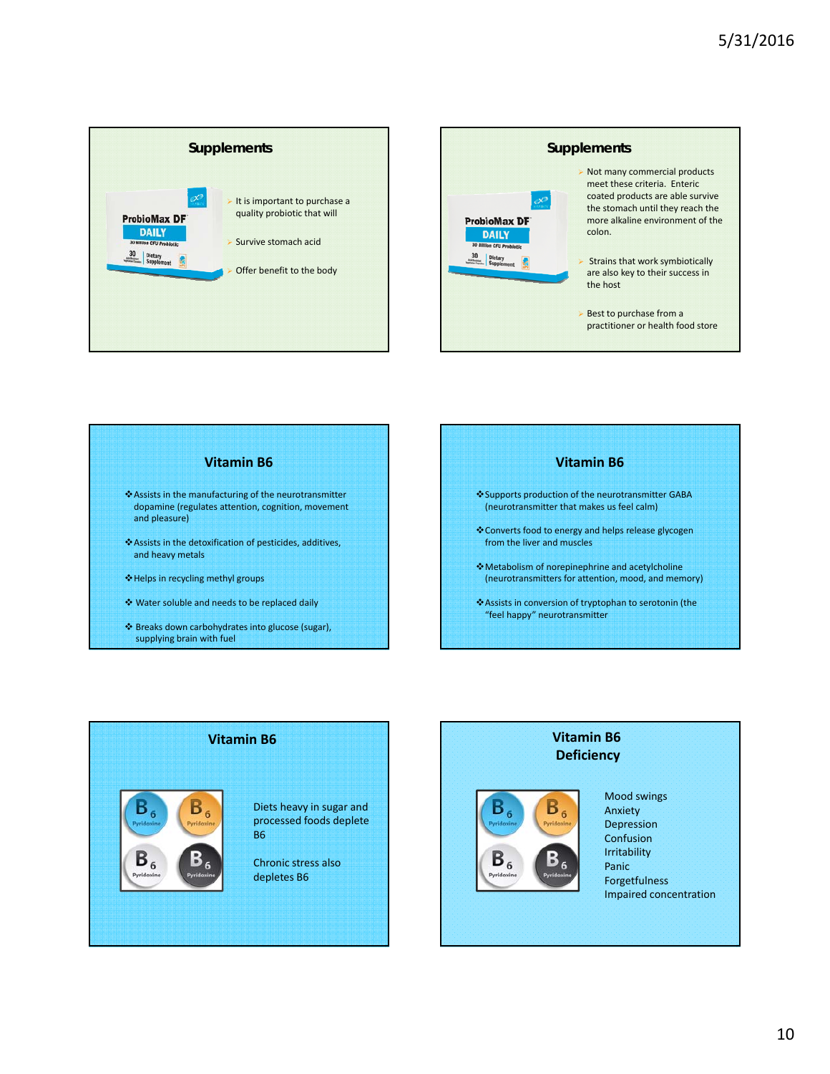





supplying brain with fuel





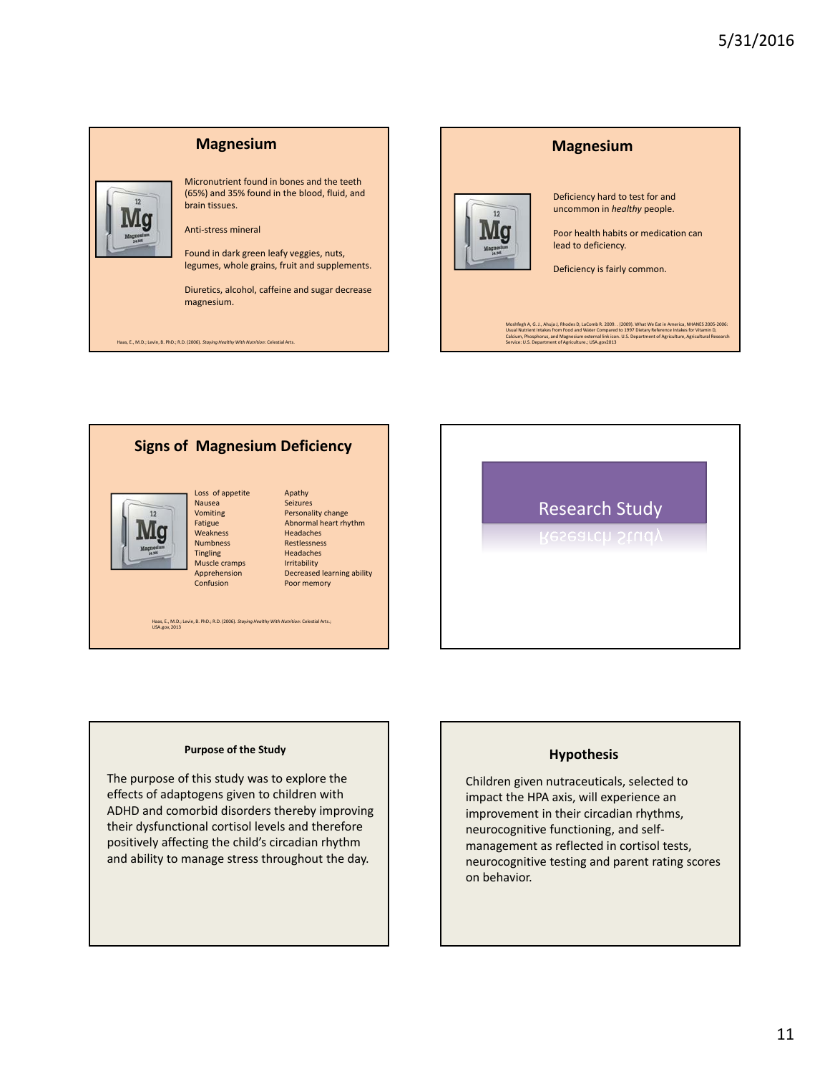



# **Signs of Magnesium Deficiency**



# Nausea Seizures<br>
Vomiting Personal Weakness<br>Numbness

Loss of appetite Apathy Vomiting Personality change<br>
Personality change<br>
Fatigue Abnormal heart rhy Abnormal heart rhythm<br>Headaches Numbness Restlessness<br>Tingling Headaches Headaches Muscle cramps Irritability Apprehension Decreased learning ability<br>
Confusion Poor memory Poor memory

Haas, E., M.D.; Levin, B. PhD.; R.D. (2006). *Staying Healthy With Nutrition*: Celestial Arts.; USA.gov, 2013

# Research Study

### **Purpose of the Study**

The purpose of this study was to explore the effects of adaptogens given to children with ADHD and comorbid disorders thereby improving their dysfunctional cortisol levels and therefore positively affecting the child's circadian rhythm and ability to manage stress throughout the day.

# **Hypothesis**

Children given nutraceuticals, selected to impact the HPA axis, will experience an improvement in their circadian rhythms, neurocognitive functioning, and selfmanagement as reflected in cortisol tests, neurocognitive testing and parent rating scores on behavior.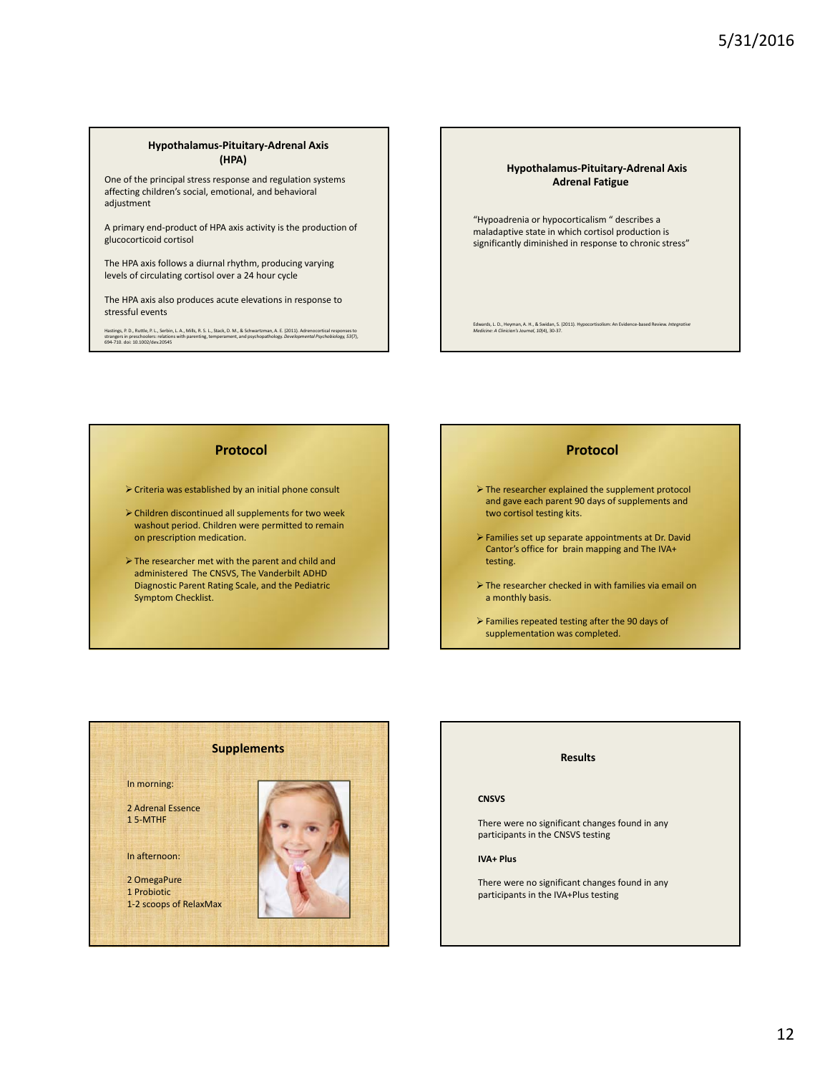#### **Hypothalamus-Pituitary-Adrenal Axis (HPA)**

One of the principal stress response and regulation systems affecting children's social, emotional, and behavioral adjustment

A primary end-product of HPA axis activity is the production of glucocorticoid cortisol

The HPA axis follows a diurnal rhythm, producing varying levels of circulating cortisol over a 24 hour cycle

The HPA axis also produces acute elevations in response to stressful events

Hastings, P. D., Ruttle, P. L., Serbin, L. A., Mills, R. S. L., Stack, D. M., & Schwartzman, A. E. (2011). Adrenocortical responses to<br>strangers in preschoolers: relations with parenting, temperament, and psychopathology.

### **Hypothalamus-Pituitary-Adrenal Axis Adrenal Fatigue**

"Hypoadrenia or hypocorticalism " describes a maladaptive state in which cortisol production is significantly diminished in response to chronic stress"

Edwards, L. D., Heyman, A. H., & Swidan, S. (2011). Hypocortisolism: An Evidence-based Review. *Integrative Medicine: A Clinician's Journal, 10*(4), 30-37.

# **Protocol**

 $\triangleright$  Criteria was established by an initial phone consult

- Children discontinued all supplements for two week washout period. Children were permitted to remain on prescription medication.
- The researcher met with the parent and child and administered The CNSVS, The Vanderbilt ADHD Diagnostic Parent Rating Scale, and the Pediatric Symptom Checklist.

# **Protocol**

- The researcher explained the supplement protocol and gave each parent 90 days of supplements and two cortisol testing kits.
- Families set up separate appointments at Dr. David Cantor's office for brain mapping and The IVA+ testing.
- The researcher checked in with families via email on a monthly basis.
- Families repeated testing after the 90 days of supplementation was completed.



# **Results CNSVS** There were no significant changes found in any participants in the CNSVS testing **IVA+ Plus** There were no significant changes found in any participants in the IVA+Plus testing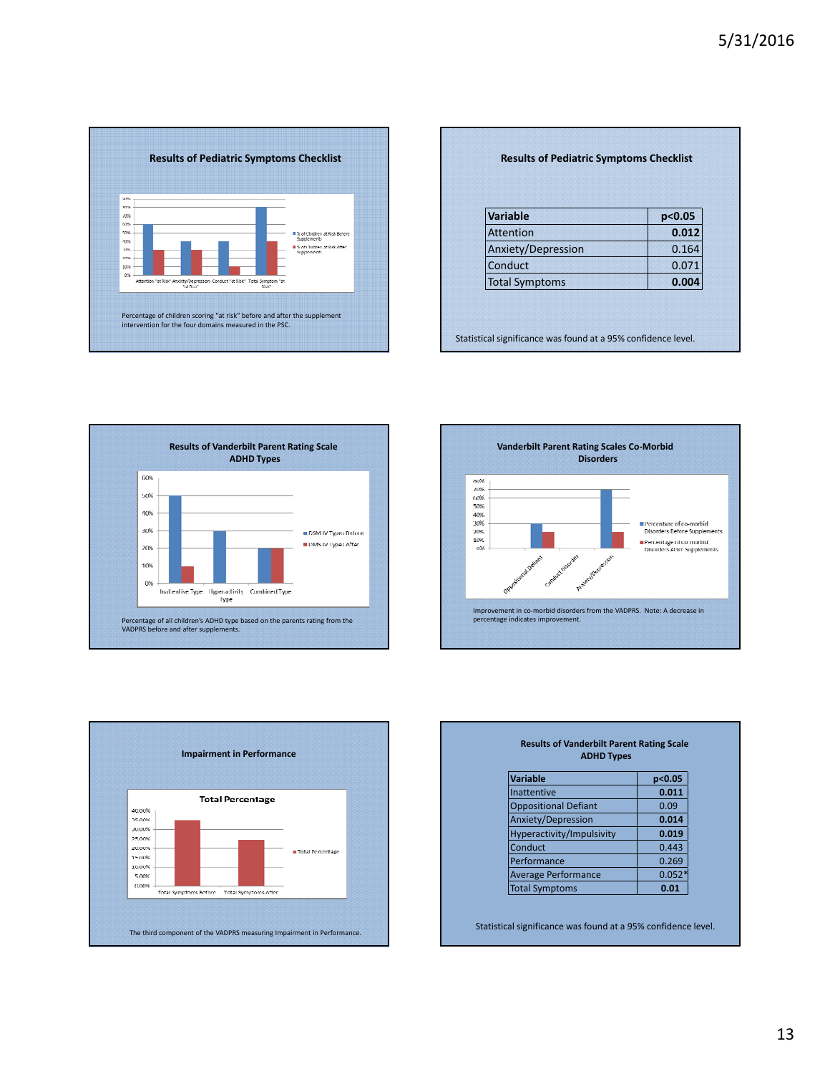

| Variable              | p<0.05 |
|-----------------------|--------|
| <b>Attention</b>      | 0.012  |
| Anxiety/Depression    | 0.164  |
| Conduct               | 0.071  |
| <b>Total Symptoms</b> | 0.004  |







| <b>ADHD Types</b>           |          |  |
|-----------------------------|----------|--|
| <b>Variable</b>             | p<0.05   |  |
| Inattentive                 | 0.011    |  |
| <b>Oppositional Defiant</b> | 0.09     |  |
| Anxiety/Depression          | 0.014    |  |
| Hyperactivity/Impulsivity   | 0.019    |  |
| Conduct                     | 0.443    |  |
| Performance                 | 0.269    |  |
| <b>Average Performance</b>  | $0.052*$ |  |
| <b>Total Symptoms</b>       | 0.01     |  |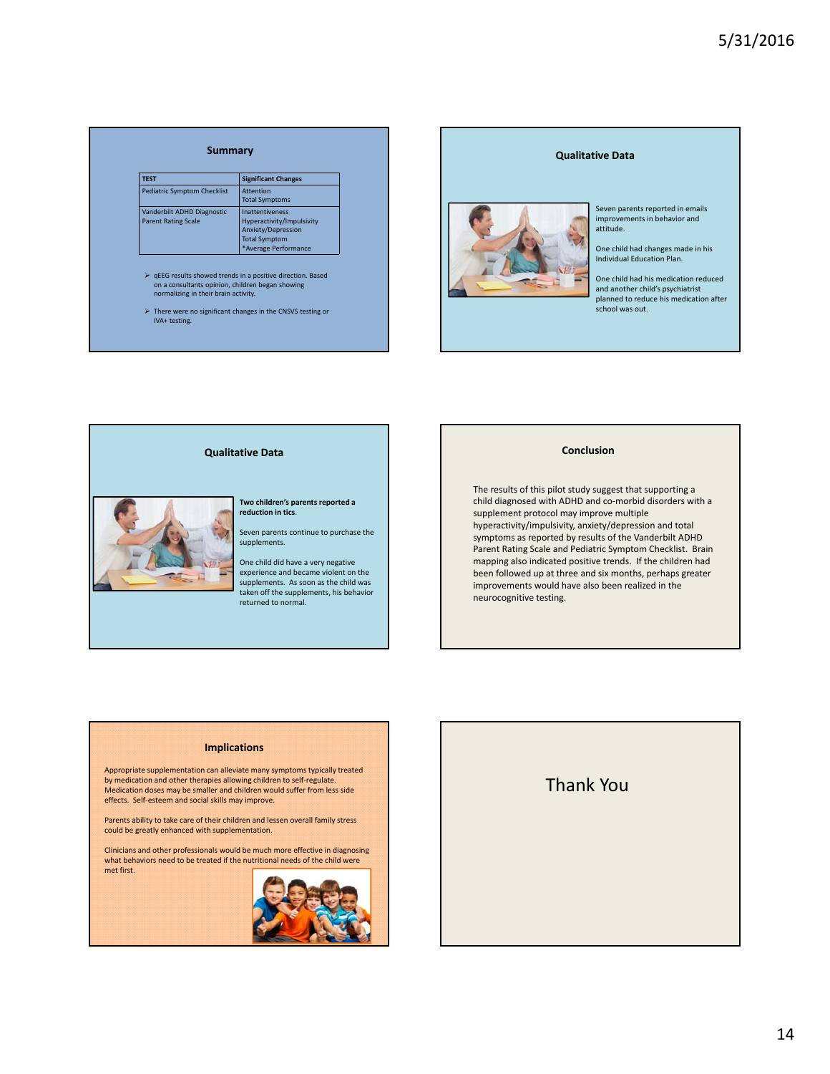| <b>TEST</b>                                              | <b>Significant Changes</b>                                                                                                |
|----------------------------------------------------------|---------------------------------------------------------------------------------------------------------------------------|
| <b>Pediatric Symptom Checklist</b>                       | <b>Attention</b><br><b>Total Symptoms</b>                                                                                 |
| Vanderbilt ADHD Diagnostic<br><b>Parent Rating Scale</b> | <b>Inattentiveness</b><br>Hyperactivity/Impulsivity<br>Anxiety/Depression<br><b>Total Symptom</b><br>*Average Performance |





**Two children's parents reported a reduction in tics**.

Seven parents continue to purchase the supplements.

One child did have a very negative experience and became violent on the supplements. As soon as the child was taken off the supplements, his behavior returned to normal.

#### **Conclusion**

The results of this pilot study suggest that supporting a child diagnosed with ADHD and co-morbid disorders with a supplement protocol may improve multiple hyperactivity/impulsivity, anxiety/depression and total symptoms as reported by results of the Vanderbilt ADHD Parent Rating Scale and Pediatric Symptom Checklist. Brain mapping also indicated positive trends. If the children had been followed up at three and six months, perhaps greater improvements would have also been realized in the neurocognitive testing.

#### **Implications**

Appropriate supplementation can alleviate many symptoms typically treated by medication and other therapies allowing children to self-regulate. Medication doses may be smaller and children would suffer from less side effects. Self-esteem and social skills may improve.

Parents ability to take care of their children and lessen overall family stress could be greatly enhanced with supplementation.

Clinicians and other professionals would be much more effective in diagnosing what behaviors need to be treated if the nutritional needs of the child were met first.



# Thank You